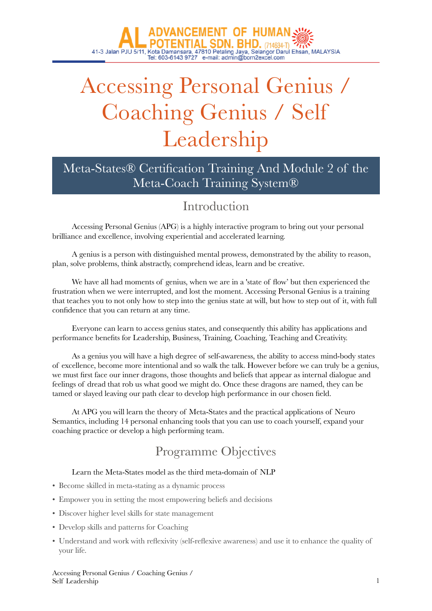# Accessing Personal Genius / Coaching Genius / Self Leadership

# Meta-States® Certification Training And Module 2 of the Meta-Coach Training System®

# Introduction

Accessing Personal Genius (APG) is a highly interactive program to bring out your personal brilliance and excellence, involving experiential and accelerated learning.

A genius is a person with distinguished mental prowess, demonstrated by the ability to reason, plan, solve problems, think abstractly, comprehend ideas, learn and be creative.

We have all had moments of genius, when we are in a 'state of flow' but then experienced the frustration when we were interrupted, and lost the moment. Accessing Personal Genius is a training that teaches you to not only how to step into the genius state at will, but how to step out of it, with full confidence that you can return at any time.

Everyone can learn to access genius states, and consequently this ability has applications and performance benefits for Leadership, Business, Training, Coaching, Teaching and Creativity.

As a genius you will have a high degree of self-awareness, the ability to access mind-body states of excellence, become more intentional and so walk the talk. However before we can truly be a genius, we must first face our inner dragons, those thoughts and beliefs that appear as internal dialogue and feelings of dread that rob us what good we might do. Once these dragons are named, they can be tamed or slayed leaving our path clear to develop high performance in our chosen field.

At APG you will learn the theory of Meta-States and the practical applications of Neuro Semantics, including 14 personal enhancing tools that you can use to coach yourself, expand your coaching practice or develop a high performing team.

# Programme Objectives

### Learn the Meta-States model as the third meta-domain of NLP

- Become skilled in meta-stating as a dynamic process
- Empower you in setting the most empowering beliefs and decisions
- Discover higher level skills for state management
- Develop skills and patterns for Coaching
- Understand and work with reflexivity (self-reflexive awareness) and use it to enhance the quality of your life.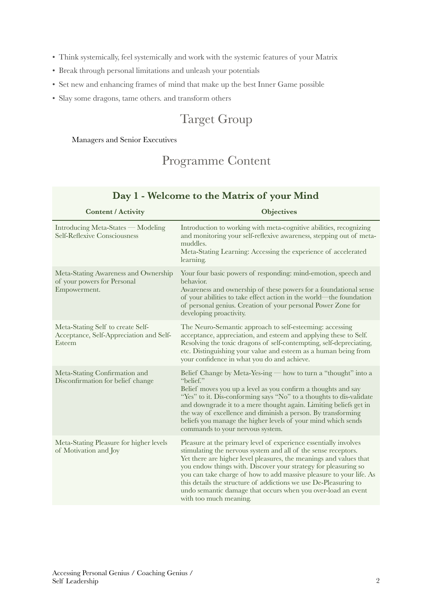- Think systemically, feel systemically and work with the systemic features of your Matrix
- Break through personal limitations and unleash your potentials
- Set new and enhancing frames of mind that make up the best Inner Game possible
- Slay some dragons, tame others. and transform others

# Target Group

#### Managers and Senior Executives

# Programme Content

| <b>Content / Activity</b>                                                              | <b>Objectives</b>                                                                                                                                                                                                                                                                                                                                                                                                                                                                                                |
|----------------------------------------------------------------------------------------|------------------------------------------------------------------------------------------------------------------------------------------------------------------------------------------------------------------------------------------------------------------------------------------------------------------------------------------------------------------------------------------------------------------------------------------------------------------------------------------------------------------|
| Introducing Meta-States - Modeling<br>Self-Reflexive Consciousness                     | Introduction to working with meta-cognitive abilities, recognizing<br>and monitoring your self-reflexive awareness, stepping out of meta-<br>muddles.<br>Meta-Stating Learning: Accessing the experience of accelerated<br>learning.                                                                                                                                                                                                                                                                             |
| Meta-Stating Awareness and Ownership<br>of your powers for Personal<br>Empowerment.    | Your four basic powers of responding: mind-emotion, speech and<br>behavior.<br>Awareness and ownership of these powers for a foundational sense<br>of your abilities to take effect action in the world—the foundation<br>of personal genius. Creation of your personal Power Zone for<br>developing proactivity.                                                                                                                                                                                                |
| Meta-Stating Self to create Self-<br>Acceptance, Self-Appreciation and Self-<br>Esteem | The Neuro-Semantic approach to self-esteeming: accessing<br>acceptance, appreciation, and esteem and applying these to Self.<br>Resolving the toxic dragons of self-contempting, self-depreciating,<br>etc. Distinguishing your value and esteem as a human being from<br>your confidence in what you do and achieve.                                                                                                                                                                                            |
| Meta-Stating Confirmation and<br>Disconfirmation for belief change                     | Belief Change by Meta-Yes-ing — how to turn a "thought" into a<br>"belief."<br>Belief moves you up a level as you confirm a thoughts and say<br>"Yes" to it. Dis-conforming says "No" to a thoughts to dis-validate<br>and downgrade it to a mere thought again. Limiting beliefs get in<br>the way of excellence and diminish a person. By transforming<br>beliefs you manage the higher levels of your mind which sends<br>commands to your nervous system.                                                    |
| Meta-Stating Pleasure for higher levels<br>of Motivation and Joy                       | Pleasure at the primary level of experience essentially involves<br>stimulating the nervous system and all of the sense receptors.<br>Yet there are higher level pleasures, the meanings and values that<br>you endow things with. Discover your strategy for pleasuring so<br>you can take charge of how to add massive pleasure to your life. As<br>this details the structure of addictions we use De-Pleasuring to<br>undo semantic damage that occurs when you over-load an event<br>with too much meaning. |

## **Day 1 - Welcome to the Matrix of your Mind**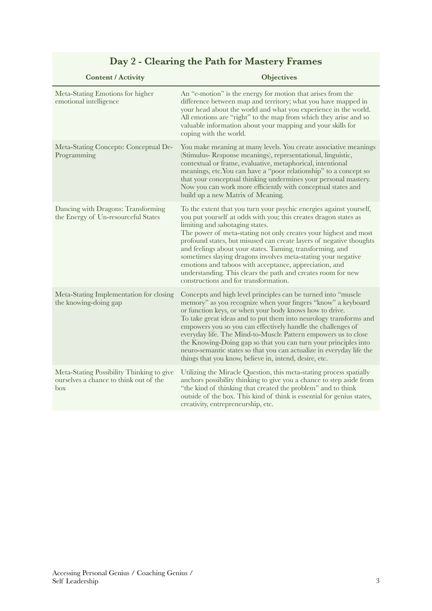| <b>Content / Activity</b>                                                                  | <b>Objectives</b>                                                                                                                                                                                                                                                                                                                                                                                                                                                                                                                                                                                                      |
|--------------------------------------------------------------------------------------------|------------------------------------------------------------------------------------------------------------------------------------------------------------------------------------------------------------------------------------------------------------------------------------------------------------------------------------------------------------------------------------------------------------------------------------------------------------------------------------------------------------------------------------------------------------------------------------------------------------------------|
| Meta-Stating Emotions for higher<br>emotional intelligence                                 | An "e-motion" is the energy for motion that arises from the<br>difference between map and territory; what you have mapped in<br>your head about the world and what you experience in the world.<br>All emotions are "right" to the map from which they arise and so<br>valuable information about your mapping and your skills for<br>coping with the world.                                                                                                                                                                                                                                                           |
| Meta-Stating Concepts: Conceptual De-<br>Programming                                       | You make meaning at many levels. You create associative meanings<br>(Stimulus-Response meanings), representational, linguistic,<br>contextual or frame, evaluative, metaphorical, intentional<br>meanings, etc. You can have a "poor relationship" to a concept so<br>that your conceptual thinking undermines your personal mastery.<br>Now you can work more efficiently with conceptual states and<br>build up a new Matrix of Meaning.                                                                                                                                                                             |
| Dancing with Dragons: Transforming<br>the Energy of Un-resourceful States                  | To the extent that you turn your psychic energies against yourself,<br>you put yourself at odds with you; this creates dragon states as<br>limiting and sabotaging states.<br>The power of meta-stating not only creates your highest and most<br>profound states, but misused can create layers of negative thoughts<br>and feelings about your states. Taming, transforming, and<br>sometimes slaying dragons involves meta-stating your negative<br>emotions and taboos with acceptance, appreciation, and<br>understanding. This clears the path and creates room for new<br>constructions and for transformation. |
| Meta-Stating Implementation for closing<br>the knowing-doing gap                           | Concepts and high level principles can be turned into "muscle<br>memory" as you recognize when your fingers "know" a keyboard<br>or function keys, or when your body knows how to drive.<br>To take great ideas and to put them into neurology transforms and<br>empowers you so you can effectively handle the challenges of<br>everyday life. The Mind-to-Muscle Pattern empowers us to close<br>the Knowing-Doing gap so that you can turn your principles into<br>neuro-semantic states so that you can actualize in everyday life the<br>things that you know, believe in, intend, desire, etc.                   |
| Meta-Stating Possibility Thinking to give<br>ourselves a chance to think out of the<br>box | Utilizing the Miracle Question, this meta-stating process spatially<br>anchors possibility thinking to give you a chance to step aside from<br>"the kind of thinking that created the problem" and to think<br>outside of the box. This kind of think is essential for genius states,<br>creativity, entrepreneurship, etc.                                                                                                                                                                                                                                                                                            |

# **Day 2 - Clearing the Path for Mastery Frames**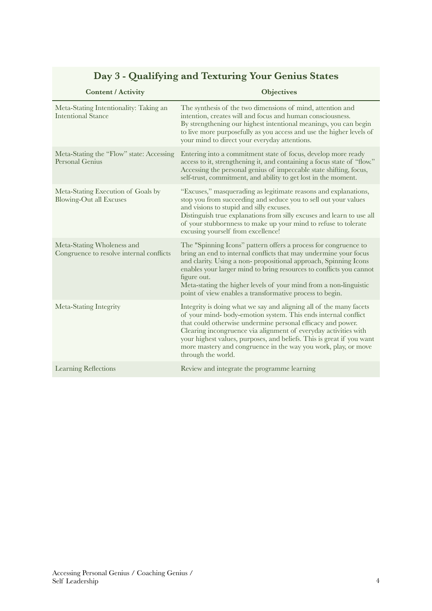#### **Content / Activity Objectives** Meta-Stating Intentionality: Taking an Intentional Stance The synthesis of the two dimensions of mind, attention and intention, creates will and focus and human consciousness. By strengthening our highest intentional meanings, you can begin to live more purposefully as you access and use the higher levels of your mind to direct your everyday attentions. Meta-Stating the "Flow" state: Accessing Personal Genius Entering into a commitment state of focus, develop more ready access to it, strengthening it, and containing a focus state of "flow." Accessing the personal genius of impeccable state shifting, focus, self-trust, commitment, and ability to get lost in the moment. Meta-Stating Execution of Goals by Blowing-Out all Excuses "Excuses," masquerading as legitimate reasons and explanations, stop you from succeeding and seduce you to sell out your values and visions to stupid and silly excuses. Distinguish true explanations from silly excuses and learn to use all of your stubbornness to make up your mind to refuse to tolerate excusing yourself from excellence! Meta-Stating Wholeness and Congruence to resolve internal conflicts The "Spinning Icons" pattern offers a process for congruence to bring an end to internal conflicts that may undermine your focus and clarity. Using a non- propositional approach, Spinning Icons enables your larger mind to bring resources to conflicts you cannot figure out. Meta-stating the higher levels of your mind from a non-linguistic point of view enables a transformative process to begin. Meta-Stating Integrity Integrity is doing what we say and aligning all of the many facets of your mind- body-emotion system. This ends internal conflict that could otherwise undermine personal efficacy and power. Clearing incongruence via alignment of everyday activities with your highest values, purposes, and beliefs. This is great if you want more mastery and congruence in the way you work, play, or move through the world. Learning Reflections Review and integrate the programme learning

## **Day 3 - Qualifying and Texturing Your Genius States**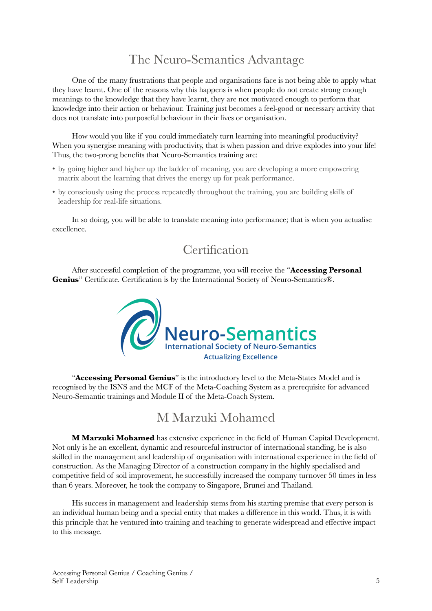# The Neuro-Semantics Advantage

One of the many frustrations that people and organisations face is not being able to apply what they have learnt. One of the reasons why this happens is when people do not create strong enough meanings to the knowledge that they have learnt, they are not motivated enough to perform that knowledge into their action or behaviour. Training just becomes a feel-good or necessary activity that does not translate into purposeful behaviour in their lives or organisation.

How would you like if you could immediately turn learning into meaningful productivity? When you synergise meaning with productivity, that is when passion and drive explodes into your life! Thus, the two-prong benefits that Neuro-Semantics training are:

- by going higher and higher up the ladder of meaning, you are developing a more empowering matrix about the learning that drives the energy up for peak performance.
- by consciously using the process repeatedly throughout the training, you are building skills of leadership for real-life situations.

In so doing, you will be able to translate meaning into performance; that is when you actualise excellence.

# **Certification**

After successful completion of the programme, you will receive the "**Accessing Personal Genius**" Certificate. Certification is by the International Society of Neuro-Semantics®.



"**Accessing Personal Genius**" is the introductory level to the Meta-States Model and is recognised by the ISNS and the MCF of the Meta-Coaching System as a prerequisite for advanced Neuro-Semantic trainings and Module II of the Meta-Coach System.

# M Marzuki Mohamed

**M Marzuki Mohamed** has extensive experience in the field of Human Capital Development. Not only is he an excellent, dynamic and resourceful instructor of international standing, he is also skilled in the management and leadership of organisation with international experience in the field of construction. As the Managing Director of a construction company in the highly specialised and competitive field of soil improvement, he successfully increased the company turnover 50 times in less than 6 years. Moreover, he took the company to Singapore, Brunei and Thailand.

His success in management and leadership stems from his starting premise that every person is an individual human being and a special entity that makes a difference in this world. Thus, it is with this principle that he ventured into training and teaching to generate widespread and effective impact to this message.